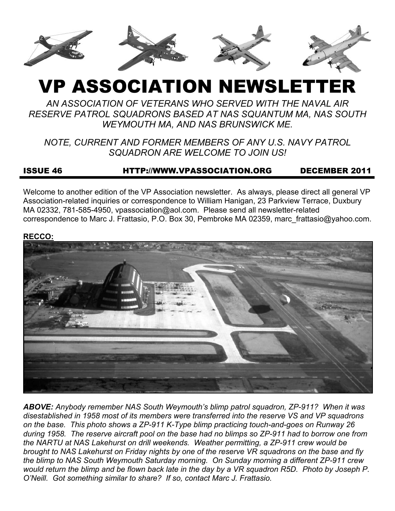

# VP ASSOCIATION NEWSLETTER

*AN ASSOCIATION OF VETERANS WHO SERVED WITH THE NAVAL AIR RESERVE PATROL SQUADRONS BASED AT NAS SQUANTUM MA, NAS SOUTH WEYMOUTH MA, AND NAS BRUNSWICK ME.* 

*NOTE, CURRENT AND FORMER MEMBERS OF ANY U.S. NAVY PATROL SQUADRON ARE WELCOME TO JOIN US!* 

# ISSUE 46 HTTP://WWW.VPASSOCIATION.ORG DECEMBER 2011

Welcome to another edition of the VP Association newsletter. As always, please direct all general VP Association-related inquiries or correspondence to William Hanigan, 23 Parkview Terrace, Duxbury MA 02332, 781-585-4950, vpassociation@aol.com. Please send all newsletter-related correspondence to Marc J. Frattasio, P.O. Box 30, Pembroke MA 02359, marc\_frattasio@yahoo.com.

#### **RECCO:**



*ABOVE: Anybody remember NAS South Weymouth's blimp patrol squadron, ZP-911? When it was disestablished in 1958 most of its members were transferred into the reserve VS and VP squadrons on the base. This photo shows a ZP-911 K-Type blimp practicing touch-and-goes on Runway 26 during 1958. The reserve aircraft pool on the base had no blimps so ZP-911 had to borrow one from the NARTU at NAS Lakehurst on drill weekends. Weather permitting, a ZP-911 crew would be brought to NAS Lakehurst on Friday nights by one of the reserve VR squadrons on the base and fly the blimp to NAS South Weymouth Saturday morning. On Sunday morning a different ZP-911 crew would return the blimp and be flown back late in the day by a VR squadron R5D. Photo by Joseph P. O'Neill. Got something similar to share? If so, contact Marc J. Frattasio.*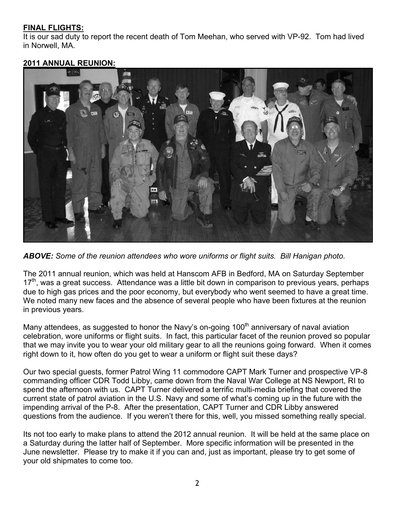## **FINAL FLIGHTS:**

It is our sad duty to report the recent death of Tom Meehan, who served with VP-92. Tom had lived in Norwell, MA.

#### **2011 ANNUAL REUNION:**



*ABOVE: Some of the reunion attendees who wore uniforms or flight suits. Bill Hanigan photo.*

The 2011 annual reunion, which was held at Hanscom AFB in Bedford, MA on Saturday September  $17<sup>th</sup>$ , was a great success. Attendance was a little bit down in comparison to previous years, perhaps due to high gas prices and the poor economy, but everybody who went seemed to have a great time. We noted many new faces and the absence of several people who have been fixtures at the reunion in previous years.

Many attendees, as suggested to honor the Navy's on-going  $100<sup>th</sup>$  anniversary of naval aviation celebration, wore uniforms or flight suits. In fact, this particular facet of the reunion proved so popular that we may invite you to wear your old military gear to all the reunions going forward. When it comes right down to it, how often do you get to wear a uniform or flight suit these days?

Our two special guests, former Patrol Wing 11 commodore CAPT Mark Turner and prospective VP-8 commanding officer CDR Todd Libby, came down from the Naval War College at NS Newport, RI to spend the afternoon with us. CAPT Turner delivered a terrific multi-media briefing that covered the current state of patrol aviation in the U.S. Navy and some of what's coming up in the future with the impending arrival of the P-8. After the presentation, CAPT Turner and CDR Libby answered questions from the audience. If you weren't there for this, well, you missed something really special.

Its not too early to make plans to attend the 2012 annual reunion. It will be held at the same place on a Saturday during the latter half of September. More specific information will be presented in the June newsletter. Please try to make it if you can and, just as important, please try to get some of your old shipmates to come too.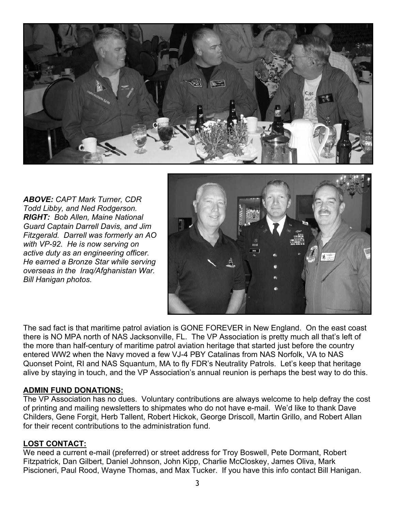

*ABOVE: CAPT Mark Turner, CDR Todd Libby, and Ned Rodgerson. RIGHT: Bob Allen, Maine National Guard Captain Darrell Davis, and Jim Fitzgerald. Darrell was formerly an AO with VP-92. He is now serving on active duty as an engineering officer. He earned a Bronze Star while serving overseas in the Iraq/Afghanistan War. Bill Hanigan photos.*



The sad fact is that maritime patrol aviation is GONE FOREVER in New England. On the east coast there is NO MPA north of NAS Jacksonville, FL. The VP Association is pretty much all that's left of the more than half-century of maritime patrol aviation heritage that started just before the country entered WW2 when the Navy moved a few VJ-4 PBY Catalinas from NAS Norfolk, VA to NAS Quonset Point, RI and NAS Squantum, MA to fly FDR's Neutrality Patrols. Let's keep that heritage alive by staying in touch, and the VP Association's annual reunion is perhaps the best way to do this.

#### **ADMIN FUND DONATIONS:**

The VP Association has no dues. Voluntary contributions are always welcome to help defray the cost of printing and mailing newsletters to shipmates who do not have e-mail. We'd like to thank Dave Childers, Gene Forgit, Herb Tallent, Robert Hickok, George Driscoll, Martin Grillo, and Robert Allan for their recent contributions to the administration fund.

#### **LOST CONTACT:**

We need a current e-mail (preferred) or street address for Troy Boswell, Pete Dormant, Robert Fitzpatrick, Dan Gilbert, Daniel Johnson, John Kipp, Charlie McCloskey, James Oliva, Mark Piscioneri, Paul Rood, Wayne Thomas, and Max Tucker. If you have this info contact Bill Hanigan.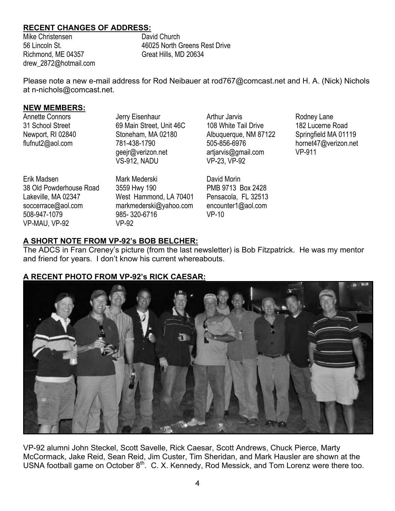## **RECENT CHANGES OF ADDRESS:**

Mike Christensen 56 Lincoln St. Richmond, ME 04357 drew\_2872@hotmail.com David Church 46025 North Greens Rest Drive Great Hills, MD 20634

Please note a new e-mail address for Rod Neibauer at rod767@comcast.net and H. A. (Nick) Nichols at n-nichols@comcast.net.

#### **NEW MEMBERS:**

Annette Connors 31 School Street Newport, RI 02840 flufnut2@aol.com

Jerry Eisenhaur 69 Main Street, Unit 46C Stoneham, MA 02180 781-438-1790 geejr@verizon.net VS-912, NADU

Erik Madsen 38 Old Powderhouse Road Lakeville, MA 02347 soccerrace@aol.com 508-947-1079 VP-MAU, VP-92

Mark Mederski 3559 Hwy 190 West Hammond, LA 70401 markmederski@yahoo.com 985- 320-6716 VP-92

Arthur Jarvis 108 White Tail Drive Albuquerque, NM 87122 505-856-6976 artjarvis@gmail.com VP-23, VP-92

David Morin PMB 9713 Box 2428 Pensacola, FL 32513 encounter1@aol.com VP-10

Rodney Lane 182 Lucerne Road Springfield MA 01119 hornet47@verizon.net VP-911

# **A SHORT NOTE FROM VP-92's BOB BELCHER:**

The ADCS in Fran Creney's picture (from the last newsletter) is Bob Fitzpatrick. He was my mentor and friend for years. I don't know his current whereabouts.

# **A RECENT PHOTO FROM VP-92's RICK CAESAR:**



VP-92 alumni John Steckel, Scott Savelle, Rick Caesar, Scott Andrews, Chuck Pierce, Marty McCormack, Jake Reid, Sean Reid, Jim Custer, Tim Sheridan, and Mark Hausler are shown at the USNA football game on October  $8<sup>th</sup>$ . C. X. Kennedy, Rod Messick, and Tom Lorenz were there too.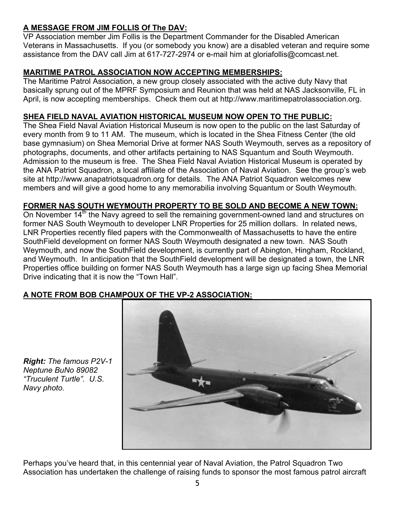# **A MESSAGE FROM JIM FOLLIS Of The DAV:**

VP Association member Jim Follis is the Department Commander for the Disabled American Veterans in Massachusetts. If you (or somebody you know) are a disabled veteran and require some assistance from the DAV call Jim at 617-727-2974 or e-mail him at gloriafollis@comcast.net.

# **MARITIME PATROL ASSOCIATION NOW ACCEPTING MEMBERSHIPS:**

The Maritime Patrol Association, a new group closely associated with the active duty Navy that basically sprung out of the MPRF Symposium and Reunion that was held at NAS Jacksonville, FL in April, is now accepting memberships. Check them out at http://www.maritimepatrolassociation.org.

# **SHEA FIELD NAVAL AVIATION HISTORICAL MUSEUM NOW OPEN TO THE PUBLIC:**

The Shea Field Naval Aviation Historical Museum is now open to the public on the last Saturday of every month from 9 to 11 AM. The museum, which is located in the Shea Fitness Center (the old base gymnasium) on Shea Memorial Drive at former NAS South Weymouth, serves as a repository of photographs, documents, and other artifacts pertaining to NAS Squantum and South Weymouth. Admission to the museum is free. The Shea Field Naval Aviation Historical Museum is operated by the ANA Patriot Squadron, a local affiliate of the Association of Naval Aviation. See the group's web site at http://www.anapatriotsquadron.org for details. The ANA Patriot Squadron welcomes new members and will give a good home to any memorabilia involving Squantum or South Weymouth.

## **FORMER NAS SOUTH WEYMOUTH PROPERTY TO BE SOLD AND BECOME A NEW TOWN:**

On November 14<sup>th</sup> the Navy agreed to sell the remaining government-owned land and structures on former NAS South Weymouth to developer LNR Properties for 25 million dollars. In related news, LNR Properties recently filed papers with the Commonwealth of Massachusetts to have the entire SouthField development on former NAS South Weymouth designated a new town. NAS South Weymouth, and now the SouthField development, is currently part of Abington, Hingham, Rockland, and Weymouth. In anticipation that the SouthField development will be designated a town, the LNR Properties office building on former NAS South Weymouth has a large sign up facing Shea Memorial Drive indicating that it is now the "Town Hall".

# **A NOTE FROM BOB CHAMPOUX OF THE VP-2 ASSOCIATION:**



*Right: The famous P2V-1 Neptune BuNo 89082 "Truculent Turtle". U.S. Navy photo.* 

Perhaps you've heard that, in this centennial year of Naval Aviation, the Patrol Squadron Two Association has undertaken the challenge of raising funds to sponsor the most famous patrol aircraft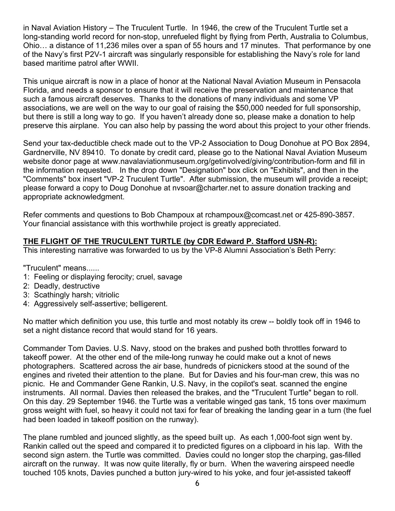in Naval Aviation History – The Truculent Turtle. In 1946, the crew of the Truculent Turtle set a long-standing world record for non-stop, unrefueled flight by flying from Perth, Australia to Columbus, Ohio… a distance of 11,236 miles over a span of 55 hours and 17 minutes. That performance by one of the Navy's first P2V-1 aircraft was singularly responsible for establishing the Navy's role for land based maritime patrol after WWII.

This unique aircraft is now in a place of honor at the National Naval Aviation Museum in Pensacola Florida, and needs a sponsor to ensure that it will receive the preservation and maintenance that such a famous aircraft deserves. Thanks to the donations of many individuals and some VP associations, we are well on the way to our goal of raising the \$50,000 needed for full sponsorship, but there is still a long way to go. If you haven't already done so, please make a donation to help preserve this airplane. You can also help by passing the word about this project to your other friends.

Send your tax-deductible check made out to the VP-2 Association to Doug Donohue at PO Box 2894, Gardnerville, NV 89410. To donate by credit card, please go to the National Naval Aviation Museum website donor page at www.navalaviationmuseum.org/getinvolved/giving/contribution-form and fill in the information requested. In the drop down "Designation" box click on "Exhibits", and then in the "Comments" box insert "VP-2 Truculent Turtle". After submission, the museum will provide a receipt; please forward a copy to Doug Donohue at nvsoar@charter.net to assure donation tracking and appropriate acknowledgment.

Refer comments and questions to Bob Champoux at rchampoux@comcast.net or 425-890-3857. Your financial assistance with this worthwhile project is greatly appreciated.

# **THE FLIGHT OF THE TRUCULENT TURTLE (by CDR Edward P. Stafford USN-R):**

This interesting narrative was forwarded to us by the VP-8 Alumni Association's Beth Perry:

"Truculent" means......

- 1: Feeling or displaying ferocity; cruel, savage
- 2: Deadly, destructive
- 3: Scathingly harsh; vitriolic
- 4: Aggressively self-assertive; belligerent.

No matter which definition you use, this turtle and most notably its crew -- boldly took off in 1946 to set a night distance record that would stand for 16 years.

Commander Tom Davies. U.S. Navy, stood on the brakes and pushed both throttles forward to takeoff power. At the other end of the mile-long runway he could make out a knot of news photographers. Scattered across the air base, hundreds of picnickers stood at the sound of the engines and riveted their attention to the plane. But for Davies and his four-man crew, this was no picnic. He and Commander Gene Rankin, U.S. Navy, in the copilot's seat. scanned the engine instruments. All normal. Davies then released the brakes, and the "Truculent Turtle" began to roll. On this day. 29 September 1946. the Turtle was a veritable winged gas tank, 15 tons over maximum gross weight with fuel, so heavy it could not taxi for fear of breaking the landing gear in a turn (the fuel had been loaded in takeoff position on the runway).

The plane rumbled and jounced slightly, as the speed built up. As each 1,000-foot sign went by. Rankin called out the speed and compared it to predicted figures on a clipboard in his lap. With the second sign astern. the Turtle was committed. Davies could no longer stop the charping, gas-filled aircraft on the runway. It was now quite literally, fly or burn. When the wavering airspeed needle touched 105 knots, Davies punched a button jury-wired to his yoke, and four jet-assisted takeoff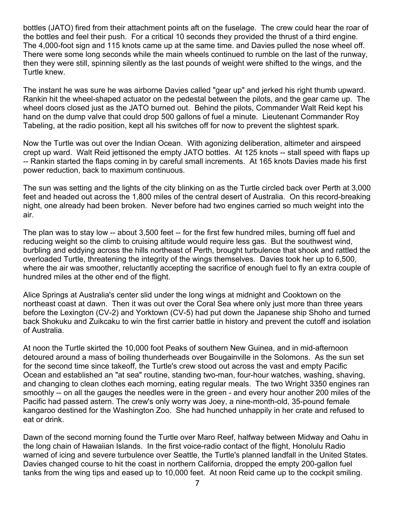bottles (JATO) fired from their attachment points aft on the fuselage. The crew could hear the roar of the bottles and feel their push. For a critical 10 seconds they provided the thrust of a third engine. The 4,000-foot sign and 115 knots came up at the same time. and Davies pulled the nose wheel off. There were some long seconds while the main wheels continued to rumble on the last of the runway, then they were still, spinning silently as the last pounds of weight were shifted to the wings, and the Turtle knew.

The instant he was sure he was airborne Davies called "gear up" and jerked his right thumb upward. Rankin hit the wheel-shaped actuator on the pedestal between the pilots, and the gear came up. The wheel doors closed just as the JATO burned out. Behind the pilots, Commander Walt Reid kept his hand on the dump valve that could drop 500 gallons of fuel a minute. Lieutenant Commander Roy Tabeling, at the radio position, kept all his switches off for now to prevent the slightest spark.

Now the Turtle was out over the Indian Ocean. With agonizing deliberation, altimeter and airspeed crept up ward. Walt Reid jettisoned the empty JATO bottles. At 125 knots -- stall speed with flaps up -- Rankin started the flaps coming in by careful small increments. At 165 knots Davies made his first power reduction, back to maximum continuous.

The sun was setting and the lights of the city blinking on as the Turtle circled back over Perth at 3,000 feet and headed out across the 1,800 miles of the central desert of Australia. On this record-breaking night, one already had been broken. Never before had two engines carried so much weight into the air.

The plan was to stay low -- about 3,500 feet -- for the first few hundred miles, burning off fuel and reducing weight so the climb to cruising altitude would require less gas. But the southwest wind, burbling and eddying across the hills northeast of Perth, brought turbulence that shook and rattled the overloaded Turtle, threatening the integrity of the wings themselves. Davies took her up to 6,500, where the air was smoother, reluctantly accepting the sacrifice of enough fuel to fly an extra couple of hundred miles at the other end of the flight.

Alice Springs at Australia's center slid under the long wings at midnight and Cooktown on the northeast coast at dawn. Then it was out over the Coral Sea where only just more than three years before the Lexington (CV-2) and Yorktown (CV-5) had put down the Japanese ship Shoho and turned back Shokuku and Zuikcaku to win the first carrier battle in history and prevent the cutoff and isolation of Australia.

At noon the Turtle skirted the 10,000 foot Peaks of southern New Guinea, and in mid-afternoon detoured around a mass of boiling thunderheads over Bougainville in the Solomons. As the sun set for the second time since takeoff, the Turtle's crew stood out across the vast and empty Pacific Ocean and established an "at sea" routine, standing two-man, four-hour watches, washing, shaving, and changing to clean clothes each morning, eating regular meals. The two Wright 3350 engines ran smoothly -- on all the gauges the needles were in the green - and every hour another 200 miles of the Pacific had passed astern. The crew's only worry was Joey, a nine-month-old, 35-pound female kangaroo destined for the Washington Zoo. She had hunched unhappily in her crate and refused to eat or drink.

Dawn of the second morning found the Turtle over Maro Reef, halfway between Midway and Oahu in the long chain of Hawaiian Islands. In the first voice-radio contact of the flight, Honolulu Radio warned of icing and severe turbulence over Seattle, the Turtle's planned landfall in the United States. Davies changed course to hit the coast in northern California, dropped the empty 200-gallon fuel tanks from the wing tips and eased up to 10,000 feet. At noon Reid came up to the cockpit smiling.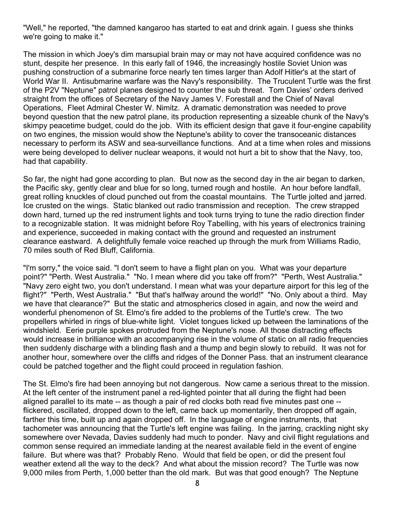"Well," he reported, "the damned kangaroo has started to eat and drink again. I guess she thinks we're going to make it."

The mission in which Joey's dim marsupial brain may or may not have acquired confidence was no stunt, despite her presence. In this early fall of 1946, the increasingly hostile Soviet Union was pushing construction of a submarine force nearly ten times larger than Adolf Hitler's at the start of World War II. Antisubmarine warfare was the Navy's responsibility. The Truculent Turtle was the first of the P2V "Neptune" patrol planes designed to counter the sub threat. Tom Davies' orders derived straight from the offices of Secretary of the Navy James V. Forestall and the Chief of Naval Operations, Fleet Admiral Chester W. Nimitz. A dramatic demonstration was needed to prove beyond question that the new patrol plane, its production representing a sizeable chunk of the Navy's skimpy peacetime budget, could do the job. With its efficient design that gave it four-engine capability on two engines, the mission would show the Neptune's ability to cover the transoceanic distances necessary to perform its ASW and sea-surveillance functions. And at a time when roles and missions were being developed to deliver nuclear weapons, it would not hurt a bit to show that the Navy, too, had that capability.

So far, the night had gone according to plan. But now as the second day in the air began to darken, the Pacific sky, gently clear and blue for so long, turned rough and hostile. An hour before landfall, great rolling knuckles of cloud punched out from the coastal mountains. The Turtle jolted and jarred. Ice crusted on the wings. Static blanked out radio transmission and reception. The crew strapped down hard, turned up the red instrument lights and took turns trying to tune the radio direction finder to a recognizable station. It was midnight before Roy Tabelling, with his years of electronics training and experience, succeeded in making contact with the ground and requested an instrument clearance eastward. A delightfully female voice reached up through the murk from Williams Radio, 70 miles south of Red Bluff, California.

"I'm sorry," the voice said. "I don't seem to have a flight plan on you. What was your departure point?" "Perth. West Australia." "No. I mean where did you take off from?" "Perth, West Australia." "Navy zero eight two, you don't understand. I mean what was your departure airport for this leg of the flight?" "Perth, West Australia." "But that's halfway around the world!" "No. Only about a third. May we have that clearance?" But the static and atmospherics closed in again, and now the weird and wonderful phenomenon of St. Elmo's fire added to the problems of the Turtle's crew. The two propellers whirled in rings of blue-white light. Violet tongues licked up between the laminations of the windshield. Eerie purple spokes protruded from the Neptune's nose. All those distracting effects would increase in brilliance with an accompanying rise in the volume of static on all radio frequencies then suddenly discharge with a blinding flash and a thump and begin slowly to rebuild. It was not for another hour, somewhere over the cliffs and ridges of the Donner Pass. that an instrument clearance could be patched together and the flight could proceed in regulation fashion.

The St. Elmo's fire had been annoying but not dangerous. Now came a serious threat to the mission. At the left center of the instrument panel a red-lighted pointer that all during the flight had been aligned parallel to its mate -- as though a pair of red clocks both read five minutes past one - flickered, oscillated, dropped down to the left, came back up momentarily, then dropped off again, farther this time, built up and again dropped off. In the language of engine instruments, that tachometer was announcing that the Turtle's left engine was failing. In the jarring, crackling night sky somewhere over Nevada, Davies suddenly had much to ponder. Navy and civil flight regulations and common sense required an immediate landing at the nearest available field in the event of engine failure. But where was that? Probably Reno. Would that field be open, or did the present foul weather extend all the way to the deck? And what about the mission record? The Turtle was now 9,000 miles from Perth, 1,000 better than the old mark. But was that good enough? The Neptune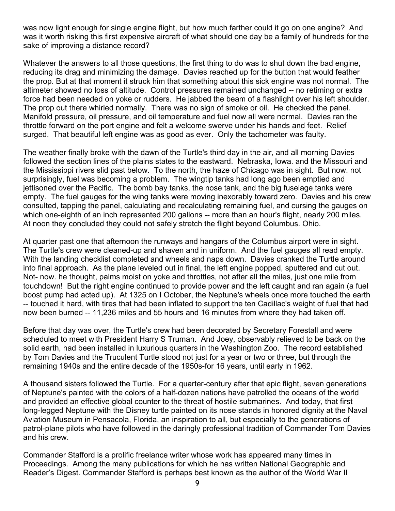was now light enough for single engine flight, but how much farther could it go on one engine? And was it worth risking this first expensive aircraft of what should one day be a family of hundreds for the sake of improving a distance record?

Whatever the answers to all those questions, the first thing to do was to shut down the bad engine, reducing its drag and minimizing the damage. Davies reached up for the button that would feather the prop. But at that moment it struck him that something about this sick engine was not normal. The altimeter showed no loss of altitude. Control pressures remained unchanged -- no retiming or extra force had been needed on yoke or rudders. He jabbed the beam of a flashlight over his left shoulder. The prop out there whirled normally. There was no sign of smoke or oil. He checked the panel. Manifold pressure, oil pressure, and oil temperature and fuel now all were normal. Davies ran the throttle forward on the port engine and felt a welcome swerve under his hands and feet. Relief surged. That beautiful left engine was as good as ever. Only the tachometer was faulty.

The weather finally broke with the dawn of the Turtle's third day in the air, and all morning Davies followed the section lines of the plains states to the eastward. Nebraska, Iowa. and the Missouri and the Mississippi rivers slid past below. To the north, the haze of Chicago was in sight. But now. not surprisingly, fuel was becoming a problem. The wingtip tanks had long ago been emptied and jettisoned over the Pacific. The bomb bay tanks, the nose tank, and the big fuselage tanks were empty. The fuel gauges for the wing tanks were moving inexorably toward zero. Davies and his crew consulted, tapping the panel, calculating and recalculating remaining fuel, and cursing the gauges on which one-eighth of an inch represented 200 gallons -- more than an hour's flight, nearly 200 miles. At noon they concluded they could not safely stretch the flight beyond Columbus. Ohio.

At quarter past one that afternoon the runways and hangars of the Columbus airport were in sight. The Turtle's crew were cleaned-up and shaven and in uniform. And the fuel gauges all read empty. With the landing checklist completed and wheels and naps down. Davies cranked the Turtle around into final approach. As the plane leveled out in final, the left engine popped, sputtered and cut out. Not- now. he thought, palms moist on yoke and throttles, not after all the miles, just one mile from touchdown! But the right engine continued to provide power and the left caught and ran again (a fuel boost pump had acted up). At 1325 on I October, the Neptune's wheels once more touched the earth -- touched it hard, with tires that had been inflated to support the ten Cadillac's weight of fuel that had now been burned -- 11,236 miles and 55 hours and 16 minutes from where they had taken off.

Before that day was over, the Turtle's crew had been decorated by Secretary Forestall and were scheduled to meet with President Harry S Truman. And Joey, observably relieved to be back on the solid earth, had been installed in luxurious quarters in the Washington Zoo. The record established by Tom Davies and the Truculent Turtle stood not just for a year or two or three, but through the remaining 1940s and the entire decade of the 1950s-for 16 years, until early in 1962.

A thousand sisters followed the Turtle. For a quarter-century after that epic flight, seven generations of Neptune's painted with the colors of a half-dozen nations have patrolled the oceans of the world and provided an effective global counter to the threat of hostile submarines. And today, that first long-legged Neptune with the Disney turtle painted on its nose stands in honored dignity at the Naval Aviation Museum in Pensacola, Florida, an inspiration to all, but especially to the generations of patrol-plane pilots who have followed in the daringly professional tradition of Commander Tom Davies and his crew.

Commander Stafford is a prolific freelance writer whose work has appeared many times in Proceedings. Among the many publications for which he has written National Geographic and Reader's Digest. Commander Stafford is perhaps best known as the author of the World War II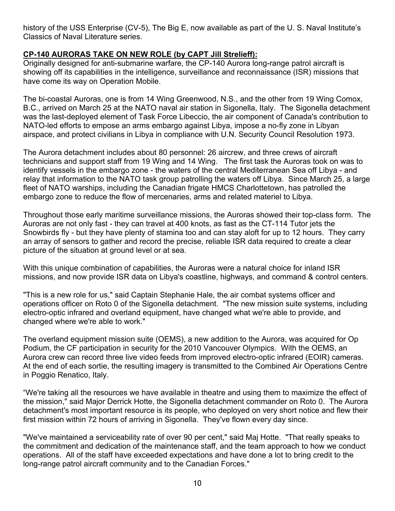history of the USS Enterprise (CV-5), The Big E, now available as part of the U. S. Naval Institute's Classics of Naval Literature series.

# **CP-140 AURORAS TAKE ON NEW ROLE (by CAPT Jill Strelieff):**

Originally designed for anti-submarine warfare, the CP-140 Aurora long-range patrol aircraft is showing off its capabilities in the intelligence, surveillance and reconnaissance (ISR) missions that have come its way on Operation Mobile.

The bi-coastal Auroras, one is from 14 Wing Greenwood, N.S., and the other from 19 Wing Comox, B.C., arrived on March 25 at the NATO naval air station in Sigonella, Italy. The Sigonella detachment was the last-deployed element of Task Force Libeccio, the air component of Canada's contribution to NATO-led efforts to empose an arms embargo against Libya, impose a no-fly zone in Libyan airspace, and protect civilians in Libya in compliance with U.N. Security Council Resolution 1973.

The Aurora detachment includes about 80 personnel: 26 aircrew, and three crews of aircraft technicians and support staff from 19 Wing and 14 Wing. The first task the Auroras took on was to identify vessels in the embargo zone - the waters of the central Mediterranean Sea off Libya - and relay that information to the NATO task group patrolling the waters off Libya. Since March 25, a large fleet of NATO warships, including the Canadian frigate HMCS Charlottetown, has patrolled the embargo zone to reduce the flow of mercenaries, arms and related materiel to Libya.

Throughout those early maritime surveillance missions, the Auroras showed their top-class form. The Auroras are not only fast - they can travel at 400 knots, as fast as the CT-114 Tutor jets the Snowbirds fly - but they have plenty of stamina too and can stay aloft for up to 12 hours. They carry an array of sensors to gather and record the precise, reliable ISR data required to create a clear picture of the situation at ground level or at sea.

With this unique combination of capabilities, the Auroras were a natural choice for inland ISR missions, and now provide ISR data on Libya's coastline, highways, and command & control centers.

"This is a new role for us," said Captain Stephanie Hale, the air combat systems officer and operations officer on Roto 0 of the Sigonella detachment. "The new mission suite systems, including electro-optic infrared and overland equipment, have changed what we're able to provide, and changed where we're able to work."

The overland equipment mission suite (OEMS), a new addition to the Aurora, was acquired for Op Podium, the CF participation in security for the 2010 Vancouver Olympics. With the OEMS, an Aurora crew can record three live video feeds from improved electro-optic infrared (EOIR) cameras. At the end of each sortie, the resulting imagery is transmitted to the Combined Air Operations Centre in Poggio Renatico, Italy.

"We're taking all the resources we have available in theatre and using them to maximize the effect of the mission," said Major Derrick Hotte, the Sigonella detachment commander on Roto 0. The Aurora detachment's most important resource is its people, who deployed on very short notice and flew their first mission within 72 hours of arriving in Sigonella. They've flown every day since.

"We've maintained a serviceability rate of over 90 per cent," said Maj Hotte. "That really speaks to the commitment and dedication of the maintenance staff, and the team approach to how we conduct operations. All of the staff have exceeded expectations and have done a lot to bring credit to the long-range patrol aircraft community and to the Canadian Forces."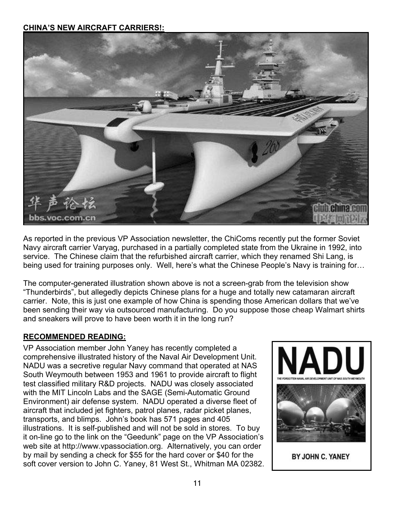## **CHINA'S NEW AIRCRAFT CARRIERS!:**



As reported in the previous VP Association newsletter, the ChiComs recently put the former Soviet Navy aircraft carrier Varyag, purchased in a partially completed state from the Ukraine in 1992, into service. The Chinese claim that the refurbished aircraft carrier, which they renamed Shi Lang, is being used for training purposes only. Well, here's what the Chinese People's Navy is training for…

The computer-generated illustration shown above is not a screen-grab from the television show "Thunderbirds", but allegedly depicts Chinese plans for a huge and totally new catamaran aircraft carrier. Note, this is just one example of how China is spending those American dollars that we've been sending their way via outsourced manufacturing. Do you suppose those cheap Walmart shirts and sneakers will prove to have been worth it in the long run?

#### **RECOMMENDED READING:**

VP Association member John Yaney has recently completed a comprehensive illustrated history of the Naval Air Development Unit. NADU was a secretive regular Navy command that operated at NAS South Weymouth between 1953 and 1961 to provide aircraft to flight test classified military R&D projects. NADU was closely associated with the MIT Lincoln Labs and the SAGE (Semi-Automatic Ground Environment) air defense system. NADU operated a diverse fleet of aircraft that included jet fighters, patrol planes, radar picket planes, transports, and blimps. John's book has 571 pages and 405 illustrations. It is self-published and will not be sold in stores. To buy it on-line go to the link on the "Geedunk" page on the VP Association's web site at http://www.vpassociation.org. Alternatively, you can order by mail by sending a check for \$55 for the hard cover or \$40 for the soft cover version to John C. Yaney, 81 West St., Whitman MA 02382.